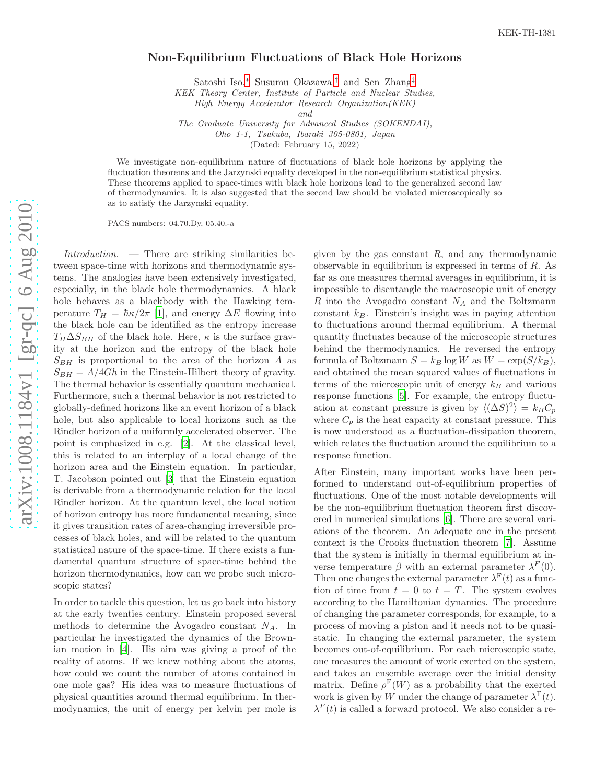## Non-Equilibrium Fluctuations of Black Hole Horizons

Satoshi Iso, [∗](#page-3-0) Susumu Okazawa, [†](#page-3-1) and Sen Zhang [‡](#page-3-2)

KEK Theory Center, Institute of Particle and Nuclear Studies,

High Energy Accelerator Research Organization(KEK)

and

The Graduate University for Advanced Studies (SOKENDAI), Oho 1-1, Tsukuba, Ibaraki 305-0801, Japan

(Dated: February 15, 2022)

We investigate non-equilibrium nature of fluctuations of black hole horizons by applying the fluctuation theorems and the Jarzynski equality developed in the non-equilibrium statistical physics. These theorems applied to space-times with black hole horizons lead to the generalized second law of thermodynamics. It is also suggested that the second law should be violated microscopically so as to satisfy the Jarzynski equality.

PACS numbers: 04.70.Dy, 05.40.-a

 $Introduction.$  — There are striking similarities between space-time with horizons and thermodynamic systems. The analogies have been extensively investigated, especially, in the black hole thermodynamics. A black hole behaves as a blackbody with the Hawking temperature  $T_H = \hbar \kappa / 2\pi$  [\[1\]](#page-3-3), and energy  $\Delta E$  flowing into the black hole can be identified as the entropy increase  $T_H\Delta S_{BH}$  of the black hole. Here,  $\kappa$  is the surface gravity at the horizon and the entropy of the black hole  $S_{BH}$  is proportional to the area of the horizon A as  $S_{BH} = A/4G\hbar$  in the Einstein-Hilbert theory of gravity. The thermal behavior is essentially quantum mechanical. Furthermore, such a thermal behavior is not restricted to globally-defined horizons like an event horizon of a black hole, but also applicable to local horizons such as the Rindler horizon of a uniformly accelerated observer. The point is emphasized in e.g. [\[2](#page-3-4)]. At the classical level, this is related to an interplay of a local change of the horizon area and the Einstein equation. In particular, T. Jacobson pointed out [\[3\]](#page-3-5) that the Einstein equation is derivable from a thermodynamic relation for the local Rindler horizon. At the quantum level, the local notion of horizon entropy has more fundamental meaning, since it gives transition rates of area-changing irreversible processes of black holes, and will be related to the quantum statistical nature of the space-time. If there exists a fundamental quantum structure of space-time behind the horizon thermodynamics, how can we probe such microscopic states?

In order to tackle this question, let us go back into history at the early twenties century. Einstein proposed several methods to determine the Avogadro constant  $N_A$ . In particular he investigated the dynamics of the Brownian motion in [\[4](#page-3-6)]. His aim was giving a proof of the reality of atoms. If we knew nothing about the atoms, how could we count the number of atoms contained in one mole gas? His idea was to measure fluctuations of physical quantities around thermal equilibrium. In thermodynamics, the unit of energy per kelvin per mole is

given by the gas constant  $R$ , and any thermodynamic observable in equilibrium is expressed in terms of R. As far as one measures thermal averages in equilibrium, it is impossible to disentangle the macroscopic unit of energy R into the Avogadro constant  $N_A$  and the Boltzmann  $constant$   $k_B$ . Einstein's insight was in paying attention to fluctuations around thermal equilibrium. A thermal quantity fluctuates because of the microscopic structures behind the thermodynamics. He reversed the entropy formula of Boltzmann  $S = k_B \log W$  as  $W = \exp(S/k_B)$ , and obtained the mean squared values of fluctuations in terms of the microscopic unit of energy  $k_B$  and various response functions [\[5\]](#page-3-7). For example, the entropy fluctuation at constant pressure is given by  $\langle (\Delta S)^2 \rangle = k_B C_p$ where  $C_p$  is the heat capacity at constant pressure. This is now understood as a fluctuation-dissipation theorem, which relates the fluctuation around the equilibrium to a response function.

After Einstein, many important works have been performed to understand out-of-equilibrium properties of fluctuations. One of the most notable developments will be the non-equilibrium fluctuation theorem first discovered in numerical simulations [\[6](#page-3-8)]. There are several variations of the theorem. An adequate one in the present context is the Crooks fluctuation theorem [\[7\]](#page-3-9). Assume that the system is initially in thermal equilibrium at inverse temperature  $\beta$  with an external parameter  $\lambda^F(0)$ . Then one changes the external parameter  $\lambda^{\mathrm{F}}(t)$  as a function of time from  $t = 0$  to  $t = T$ . The system evolves according to the Hamiltonian dynamics. The procedure of changing the parameter corresponds, for example, to a process of moving a piston and it needs not to be quasistatic. In changing the external parameter, the system becomes out-of-equilibrium. For each microscopic state, one measures the amount of work exerted on the system, and takes an ensemble average over the initial density matrix. Define  $\rho^{\text{F}}(W)$  as a probability that the exerted work is given by W under the change of parameter  $\lambda^{\text{F}}(t)$ .  $\lambda^F(t)$  is called a forward protocol. We also consider a re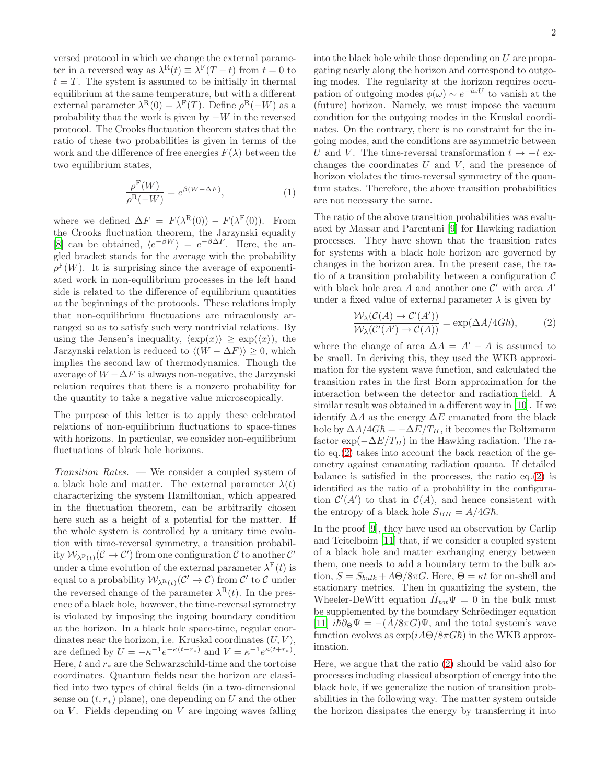versed protocol in which we change the external parameter in a reversed way as  $\lambda^{\text{R}}(t) \equiv \lambda^{\text{F}}(T-t)$  from  $t = 0$  to  $t = T$ . The system is assumed to be initially in thermal equilibrium at the same temperature, but with a different external parameter  $\lambda^{\mathcal{R}}(0) = \lambda^{\mathcal{F}}(T)$ . Define  $\rho^{\mathcal{R}}(-W)$  as a probability that the work is given by  $-W$  in the reversed protocol. The Crooks fluctuation theorem states that the ratio of these two probabilities is given in terms of the work and the difference of free energies  $F(\lambda)$  between the two equilibrium states,

$$
\frac{\rho^{\mathcal{F}}(W)}{\rho^{\mathcal{R}}(-W)} = e^{\beta(W - \Delta F)},\tag{1}
$$

where we defined  $\Delta F = F(\lambda^{\mathbb{R}}(0)) - F(\lambda^{\mathbb{F}}(0)).$  From the Crooks fluctuation theorem, the Jarzynski equality [\[8\]](#page-3-10) can be obtained,  $\langle e^{-\beta W} \rangle = e^{-\beta \Delta F}$ . Here, the angled bracket stands for the average with the probability  $\rho^{\text{F}}(W)$ . It is surprising since the average of exponentiated work in non-equilibrium processes in the left hand side is related to the difference of equilibrium quantities at the beginnings of the protocols. These relations imply that non-equilibrium fluctuations are miraculously arranged so as to satisfy such very nontrivial relations. By using the Jensen's inequality,  $\langle \exp(x) \rangle > \exp(\langle x \rangle)$ , the Jarzynski relation is reduced to  $\langle (W - \Delta F) \rangle \geq 0$ , which implies the second law of thermodynamics. Though the average of  $W - \Delta F$  is always non-negative, the Jarzynski relation requires that there is a nonzero probability for the quantity to take a negative value microscopically.

The purpose of this letter is to apply these celebrated relations of non-equilibrium fluctuations to space-times with horizons. In particular, we consider non-equilibrium fluctuations of black hole horizons.

Transition Rates. — We consider a coupled system of a black hole and matter. The external parameter  $\lambda(t)$ characterizing the system Hamiltonian, which appeared in the fluctuation theorem, can be arbitrarily chosen here such as a height of a potential for the matter. If the whole system is controlled by a unitary time evolution with time-reversal symmetry, a transition probability  $W_{\lambda^{\mathrm{F}}(t)}(\mathcal{C} \to \mathcal{C}')$  from one configuration  $\mathcal C$  to another  $\mathcal{C}'$ under a time evolution of the external parameter  $\lambda^{\text{F}}(t)$  is equal to a probability  $\mathcal{W}_{\lambda^R(t)}(\mathcal{C}' \to \mathcal{C})$  from  $\mathcal{C}'$  to  $\mathcal{C}$  under the reversed change of the parameter  $\lambda^{\rm R}(t)$ . In the presence of a black hole, however, the time-reversal symmetry is violated by imposing the ingoing boundary condition at the horizon. In a black hole space-time, regular coordinates near the horizon, i.e. Kruskal coordinates  $(U, V)$ , are defined by  $U = -\kappa^{-1} e^{-\kappa(t-r_*)}$  and  $V = \kappa^{-1} e^{\kappa(t+r_*)}$ . Here,  $t$  and  $r_*$  are the Schwarzschild-time and the tortoise coordinates. Quantum fields near the horizon are classified into two types of chiral fields (in a two-dimensional sense on  $(t, r_*)$  plane), one depending on U and the other on  $V$ . Fields depending on  $V$  are ingoing waves falling into the black hole while those depending on  $U$  are propagating nearly along the horizon and correspond to outgoing modes. The regularity at the horizon requires occupation of outgoing modes  $\phi(\omega) \sim e^{-i\omega U}$  to vanish at the (future) horizon. Namely, we must impose the vacuum condition for the outgoing modes in the Kruskal coordinates. On the contrary, there is no constraint for the ingoing modes, and the conditions are asymmetric between U and V. The time-reversal transformation  $t \to -t$  exchanges the coordinates  $U$  and  $V$ , and the presence of horizon violates the time-reversal symmetry of the quantum states. Therefore, the above transition probabilities are not necessary the same.

The ratio of the above transition probabilities was evaluated by Massar and Parentani [\[9](#page-3-11)] for Hawking radiation processes. They have shown that the transition rates for systems with a black hole horizon are governed by changes in the horizon area. In the present case, the ratio of a transition probability between a configuration  $\mathcal C$ with black hole area  $A$  and another one  $\mathcal{C}'$  with area  $A'$ under a fixed value of external parameter  $\lambda$  is given by

<span id="page-1-0"></span>
$$
\frac{\mathcal{W}_{\lambda}(\mathcal{C}(A) \to \mathcal{C}'(A'))}{\mathcal{W}_{\lambda}(\mathcal{C}'(A') \to \mathcal{C}(A))} = \exp(\Delta A/4G\hbar),\tag{2}
$$

where the change of area  $\Delta A = A' - A$  is assumed to be small. In deriving this, they used the WKB approximation for the system wave function, and calculated the transition rates in the first Born approximation for the interaction between the detector and radiation field. A similar result was obtained in a different way in [\[10](#page-3-12)]. If we identify  $\Delta A$  as the energy  $\Delta E$  emanated from the black hole by  $\Delta A/4G\hbar = -\Delta E/T_H$ , it becomes the Boltzmann factor  $\exp(-\Delta E/T_H)$  in the Hawking radiation. The ratio eq.[\(2\)](#page-1-0) takes into account the back reaction of the geometry against emanating radiation quanta. If detailed balance is satisfied in the processes, the ratio eq.[\(2\)](#page-1-0) is identified as the ratio of a probability in the configuration  $\mathcal{C}'(A')$  to that in  $\mathcal{C}(A)$ , and hence consistent with the entropy of a black hole  $S_{BH} = A/4G\hbar$ .

In the proof [\[9\]](#page-3-11), they have used an observation by Carlip and Teitelboim [\[11\]](#page-3-13) that, if we consider a coupled system of a black hole and matter exchanging energy between them, one needs to add a boundary term to the bulk action,  $S = S_{bulk} + A\Theta/8\pi G$ . Here,  $\Theta = \kappa t$  for on-shell and stationary metrics. Then in quantizing the system, the Wheeler-DeWitt equation  $\hat{H}_{tot}\Psi = 0$  in the bulk must be supplemented by the boundary Schröedinger equation [\[11\]](#page-3-13)  $i\hbar\partial_{\Theta}\Psi = -(A/8\pi G)\Psi$ , and the total system's wave function evolves as  $\exp(iA\Theta/8\pi G\hbar)$  in the WKB approximation.

Here, we argue that the ratio [\(2\)](#page-1-0) should be valid also for processes including classical absorption of energy into the black hole, if we generalize the notion of transition probabilities in the following way. The matter system outside the horizon dissipates the energy by transferring it into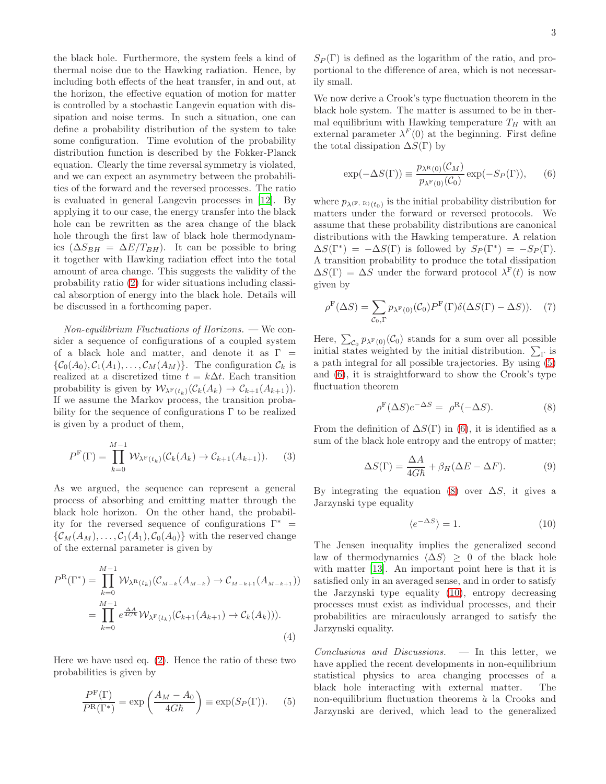the black hole. Furthermore, the system feels a kind of thermal noise due to the Hawking radiation. Hence, by including both effects of the heat transfer, in and out, at the horizon, the effective equation of motion for matter is controlled by a stochastic Langevin equation with dissipation and noise terms. In such a situation, one can define a probability distribution of the system to take some configuration. Time evolution of the probability distribution function is described by the Fokker-Planck equation. Clearly the time reversal symmetry is violated, and we can expect an asymmetry between the probabilities of the forward and the reversed processes. The ratio is evaluated in general Langevin processes in [\[12](#page-3-14)]. By applying it to our case, the energy transfer into the black hole can be rewritten as the area change of the black hole through the first law of black hole thermodynamics  $(\Delta S_{BH} = \Delta E / T_{BH})$ . It can be possible to bring it together with Hawking radiation effect into the total amount of area change. This suggests the validity of the probability ratio [\(2\)](#page-1-0) for wider situations including classical absorption of energy into the black hole. Details will be discussed in a forthcoming paper.

 $Non-equilibrium$  Fluctuations of Horizons. — We consider a sequence of configurations of a coupled system of a black hole and matter, and denote it as  $\Gamma =$  $\{\mathcal{C}_0(A_0), \mathcal{C}_1(A_1), \ldots, \mathcal{C}_M(A_M)\}\.$  The configuration  $\mathcal{C}_k$  is realized at a discretized time  $t = k\Delta t$ . Each transition probability is given by  $\mathcal{W}_{\lambda^{\mathrm{F}}(t_k)}(\mathcal{C}_k(A_k) \to \mathcal{C}_{k+1}(A_{k+1})).$ If we assume the Markov process, the transition probability for the sequence of configurations  $\Gamma$  to be realized is given by a product of them,

$$
P^{\mathcal{F}}(\Gamma) = \prod_{k=0}^{M-1} \mathcal{W}_{\lambda^{\mathcal{F}}(t_k)}(\mathcal{C}_k(A_k) \to \mathcal{C}_{k+1}(A_{k+1})). \tag{3}
$$

As we argued, the sequence can represent a general process of absorbing and emitting matter through the black hole horizon. On the other hand, the probability for the reversed sequence of configurations  $\Gamma^*$  =  $\{\mathcal{C}_M(A_M), \ldots, \mathcal{C}_1(A_1), \mathcal{C}_0(A_0)\}\$  with the reserved change of the external parameter is given by

$$
P^{R}(\Gamma^{*}) = \prod_{k=0}^{M-1} \mathcal{W}_{\lambda^{R}(t_{k})}(\mathcal{C}_{M-k}(A_{M-k}) \to \mathcal{C}_{M-k+1}(A_{M-k+1}))
$$
  
= 
$$
\prod_{k=0}^{M-1} e^{\frac{\Delta A}{4G\hbar}} \mathcal{W}_{\lambda^{F}(t_{k})}(\mathcal{C}_{k+1}(A_{k+1}) \to \mathcal{C}_{k}(A_{k}))).
$$
 (4)

Here we have used eq. [\(2\)](#page-1-0). Hence the ratio of these two probabilities is given by

$$
\frac{P^{\mathcal{F}}(\Gamma)}{P^{\mathcal{R}}(\Gamma^*)} = \exp\left(\frac{A_M - A_0}{4G\hbar}\right) \equiv \exp(S_P(\Gamma)).\tag{5}
$$

 $S_P(\Gamma)$  is defined as the logarithm of the ratio, and proportional to the difference of area, which is not necessarily small.

We now derive a Crook's type fluctuation theorem in the black hole system. The matter is assumed to be in thermal equilibrium with Hawking temperature  $T_H$  with an external parameter  $\lambda^F(0)$  at the beginning. First define the total dissipation  $\Delta S(\Gamma)$  by

<span id="page-2-1"></span>
$$
\exp(-\Delta S(\Gamma)) \equiv \frac{p_{\lambda^{\text{R}}(0)}(\mathcal{C}_M)}{p_{\lambda^{\text{F}}(0)}(\mathcal{C}_0)} \exp(-S_P(\Gamma)), \quad (6)
$$

where  $p_{\lambda^{(F,\ R)}(t_0)}$  is the initial probability distribution for matters under the forward or reversed protocols. We assume that these probability distributions are canonical distributions with the Hawking temperature. A relation  $\Delta S(\Gamma^*) = -\Delta S(\Gamma)$  is followed by  $S_P(\Gamma^*) = -S_P(\Gamma)$ . A transition probability to produce the total dissipation  $\Delta S(\Gamma) = \Delta S$  under the forward protocol  $\lambda^{F}(t)$  is now given by

$$
\rho^{\mathcal{F}}(\Delta S) = \sum_{\mathcal{C}_0, \Gamma} p_{\lambda^{\mathcal{F}}(0)}(\mathcal{C}_0) P^{\mathcal{F}}(\Gamma) \delta(\Delta S(\Gamma) - \Delta S)). \tag{7}
$$

Here,  $\sum_{\mathcal{C}_0} p_{\lambda^F(0)}(\mathcal{C}_0)$  stands for a sum over all possible initial states weighted by the initial distribution.  $\sum_{\Gamma}$  is a path integral for all possible trajectories. By using [\(5\)](#page-2-0) and [\(6\)](#page-2-1), it is straightforward to show the Crook's type fluctuation theorem

<span id="page-2-2"></span>
$$
\rho^{\mathcal{F}}(\Delta S)e^{-\Delta S} = \rho^{\mathcal{R}}(-\Delta S). \tag{8}
$$

From the definition of  $\Delta S(\Gamma)$  in [\(6\)](#page-2-1), it is identified as a sum of the black hole entropy and the entropy of matter;

$$
\Delta S(\Gamma) = \frac{\Delta A}{4G\hbar} + \beta_H(\Delta E - \Delta F). \tag{9}
$$

By integrating the equation [\(8\)](#page-2-2) over  $\Delta S$ , it gives a Jarzynski type equality

<span id="page-2-3"></span>
$$
\langle e^{-\Delta S} \rangle = 1. \tag{10}
$$

The Jensen inequality implies the generalized second law of thermodynamics  $\langle \Delta S \rangle \geq 0$  of the black hole with matter [\[13\]](#page-3-15). An important point here is that it is satisfied only in an averaged sense, and in order to satisfy the Jarzynski type equality [\(10\)](#page-2-3), entropy decreasing processes must exist as individual processes, and their probabilities are miraculously arranged to satisfy the Jarzynski equality.

<span id="page-2-0"></span> $Conclusions and Discussions.$   $-$  In this letter, we have applied the recent developments in non-equilibrium statistical physics to area changing processes of a black hole interacting with external matter. The non-equilibrium fluctuation theorems  $\hat{a}$  la Crooks and Jarzynski are derived, which lead to the generalized